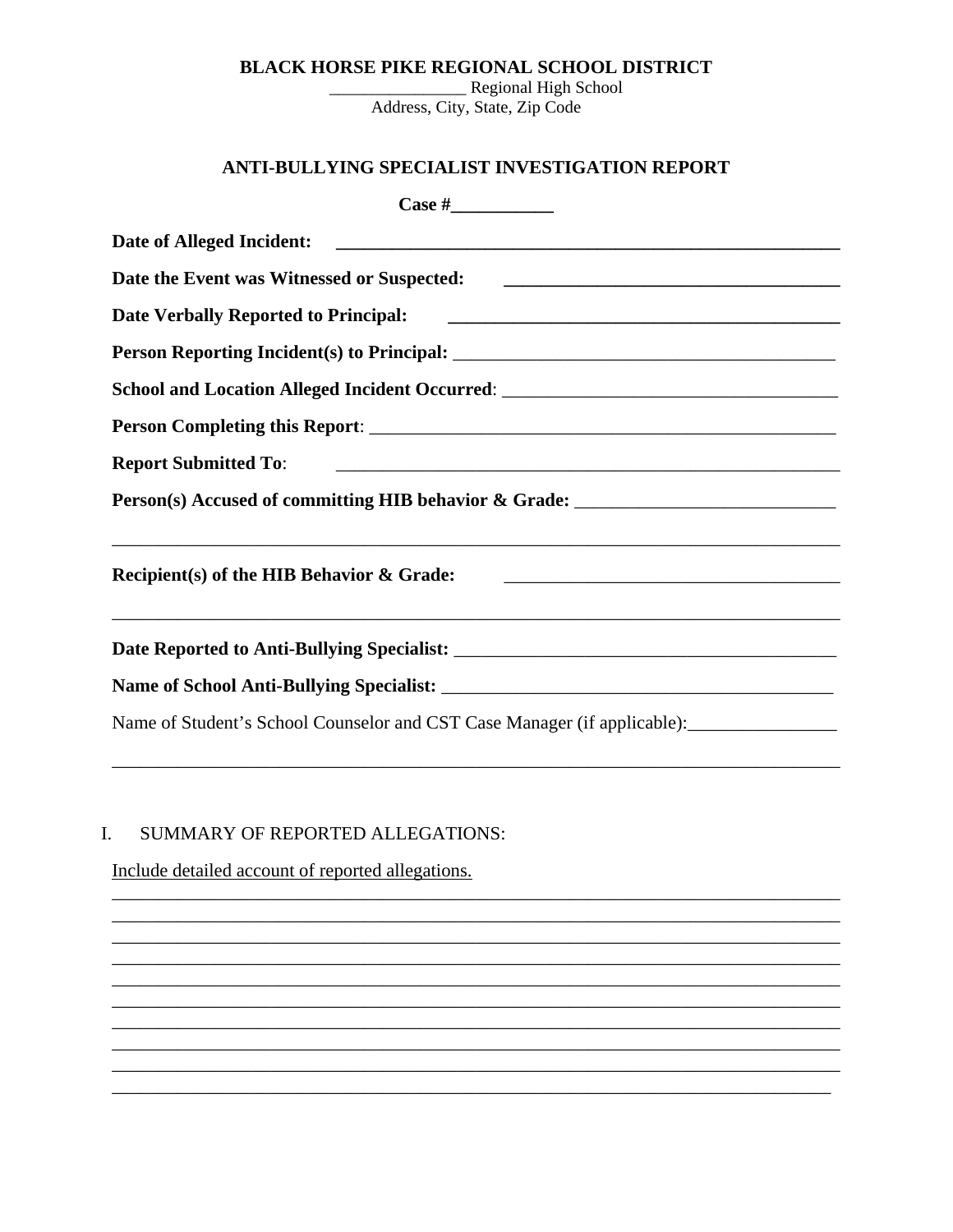### **BLACK HORSE PIKE REGIONAL SCHOOL DISTRICT**

\_Regional High School Address, City, State, Zip Code

# ANTI-BULLYING SPECIALIST INVESTIGATION REPORT

| School and Location Alleged Incident Occurred: __________________________________                                                                                 |
|-------------------------------------------------------------------------------------------------------------------------------------------------------------------|
|                                                                                                                                                                   |
|                                                                                                                                                                   |
| Person(s) Accused of committing HIB behavior & Grade: ___________________________                                                                                 |
| Recipient(s) of the HIB Behavior & Grade:<br><u> 1980 - Johann Stein, marwolaethau a bhann an t-Amhain an t-Amhain an t-Amhain an t-Amhain an t-Amhain an t-A</u> |
|                                                                                                                                                                   |
|                                                                                                                                                                   |
|                                                                                                                                                                   |

### SUMMARY OF REPORTED ALLEGATIONS:  $I.$

Include detailed account of reported allegations.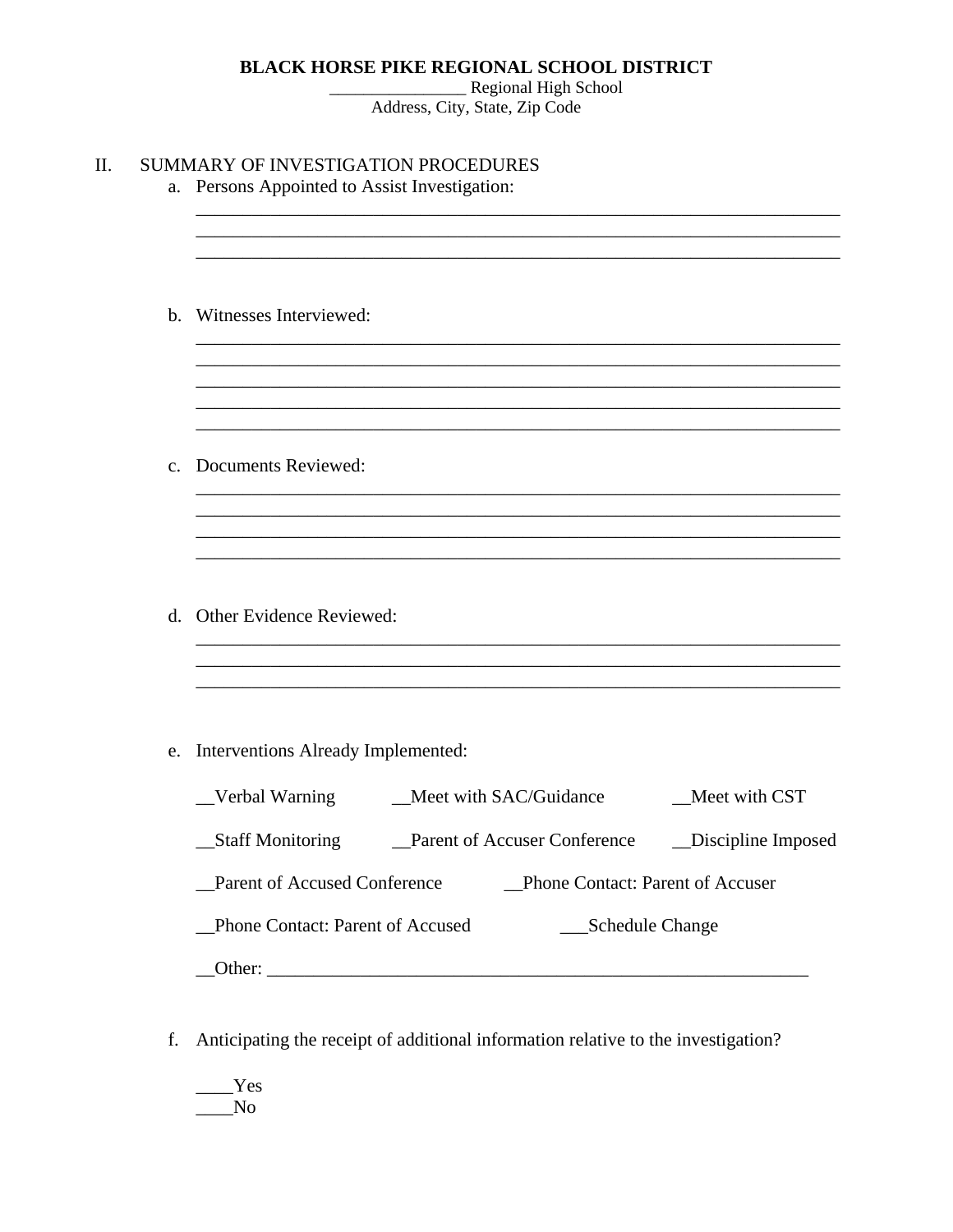## **BLACK HORSE PIKE REGIONAL SCHOOL DISTRICT**

\_\_\_\_\_\_\_\_\_\_\_\_\_\_\_\_ Regional High School Address, City, State, Zip Code

| a. Persons Appointed to Assist Investigation:                                                                                       |
|-------------------------------------------------------------------------------------------------------------------------------------|
| b. Witnesses Interviewed:                                                                                                           |
| c. Documents Reviewed:                                                                                                              |
| d. Other Evidence Reviewed:                                                                                                         |
| e. Interventions Already Implemented:                                                                                               |
| Verbal Warning Meet with SAC/Guidance<br>_Meet with CST<br>_Staff Monitoring<br>Parent of Accuser Conference<br>_Discipline Imposed |
| Parent of Accused Conference<br>Phone Contact: Parent of Accuser                                                                    |
| Phone Contact: Parent of Accused<br>__Schedule Change                                                                               |
|                                                                                                                                     |

f. Anticipating the receipt of additional information relative to the investigation?

\_\_\_\_Yes  $\_\_$ No